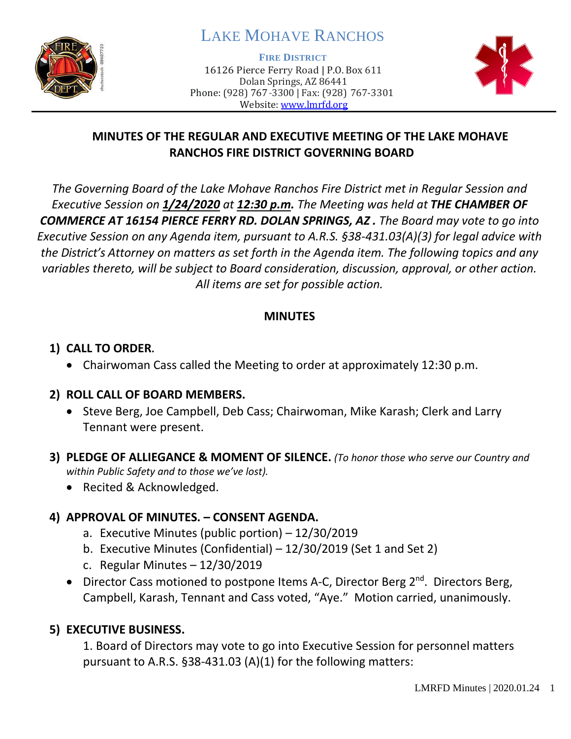

# LAKE MOHAVE RANCHOS

**FIRE DISTRICT**

16126 Pierce Ferry Road | P.O. Box 611 Dolan Springs, AZ 86441 Phone: (928) 767-3300 | Fax: (928) 767-3301 Website: [www.lmrfd.org](http://www.lmrfd.org/)



# **MINUTES OF THE REGULAR AND EXECUTIVE MEETING OF THE LAKE MOHAVE RANCHOS FIRE DISTRICT GOVERNING BOARD**

*The Governing Board of the Lake Mohave Ranchos Fire District met in Regular Session and Executive Session on 1/24/2020 at 12:30 p.m. The Meeting was held at THE CHAMBER OF COMMERCE AT 16154 PIERCE FERRY RD. DOLAN SPRINGS, AZ . The Board may vote to go into Executive Session on any Agenda item, pursuant to A.R.S. §38-431.03(A)(3) for legal advice with the District's Attorney on matters as set forth in the Agenda item. The following topics and any variables thereto, will be subject to Board consideration, discussion, approval, or other action. All items are set for possible action.* 

### **MINUTES**

### **1) CALL TO ORDER.**

• Chairwoman Cass called the Meeting to order at approximately 12:30 p.m.

### **2) ROLL CALL OF BOARD MEMBERS.**

- Steve Berg, Joe Campbell, Deb Cass; Chairwoman, Mike Karash; Clerk and Larry Tennant were present.
- **3) PLEDGE OF ALLIEGANCE & MOMENT OF SILENCE.** *(To honor those who serve our Country and within Public Safety and to those we've lost).*
	- Recited & Acknowledged.

# **4) APPROVAL OF MINUTES. – CONSENT AGENDA.**

- a. Executive Minutes (public portion) 12/30/2019
- b. Executive Minutes (Confidential) 12/30/2019 (Set 1 and Set 2)
- c. Regular Minutes 12/30/2019
- Director Cass motioned to postpone Items A-C, Director Berg  $2^{nd}$ . Directors Berg, Campbell, Karash, Tennant and Cass voted, "Aye." Motion carried, unanimously.

# **5) EXECUTIVE BUSINESS.**

1. Board of Directors may vote to go into Executive Session for personnel matters pursuant to A.R.S. §38-431.03 (A)(1) for the following matters: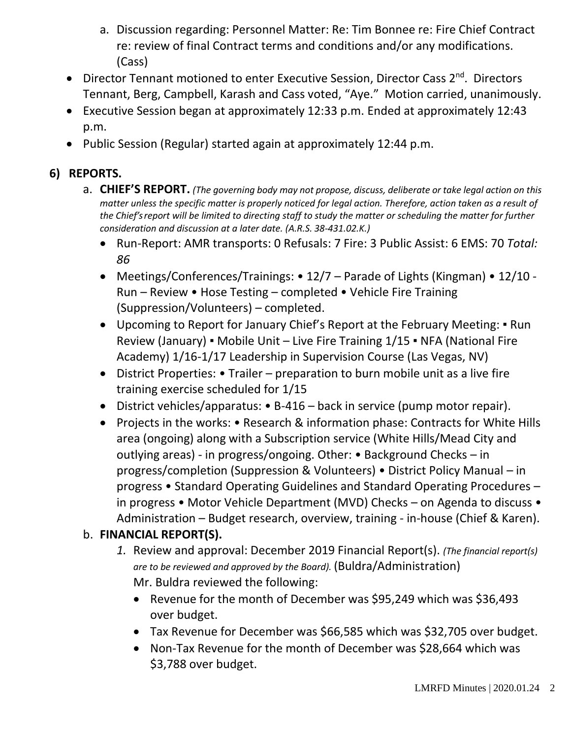- a. Discussion regarding: Personnel Matter: Re: Tim Bonnee re: Fire Chief Contract re: review of final Contract terms and conditions and/or any modifications. (Cass)
- Director Tennant motioned to enter Executive Session, Director Cass 2<sup>nd</sup>. Directors Tennant, Berg, Campbell, Karash and Cass voted, "Aye." Motion carried, unanimously.
- Executive Session began at approximately 12:33 p.m. Ended at approximately 12:43 p.m.
- Public Session (Regular) started again at approximately 12:44 p.m.

# **6) REPORTS.**

- a. **CHIEF'S REPORT.** *(The governing body may not propose, discuss, deliberate or take legal action on this matter unless the specific matter is properly noticed for legal action. Therefore, action taken as a result of the Chief's report will be limited to directing staff to study the matter or scheduling the matter for further consideration and discussion at a later date. (A.R.S. 38-431.02.K.)*
	- Run-Report: AMR transports: 0 Refusals: 7 Fire: 3 Public Assist: 6 EMS: 70 *Total: 86*
	- Meetings/Conferences/Trainings: 12/7 Parade of Lights (Kingman) 12/10 Run – Review • Hose Testing – completed • Vehicle Fire Training (Suppression/Volunteers) – completed.
	- Upcoming to Report for January Chief's Report at the February Meeting: Run Review (January) ▪ Mobile Unit – Live Fire Training 1/15 ▪ NFA (National Fire Academy) 1/16-1/17 Leadership in Supervision Course (Las Vegas, NV)
	- District Properties: Trailer preparation to burn mobile unit as a live fire training exercise scheduled for 1/15
	- District vehicles/apparatus: B-416 back in service (pump motor repair).
	- Projects in the works: Research & information phase: Contracts for White Hills area (ongoing) along with a Subscription service (White Hills/Mead City and outlying areas) - in progress/ongoing. Other: • Background Checks – in progress/completion (Suppression & Volunteers) • District Policy Manual – in progress • Standard Operating Guidelines and Standard Operating Procedures – in progress • Motor Vehicle Department (MVD) Checks – on Agenda to discuss • Administration – Budget research, overview, training - in-house (Chief & Karen).

### b. **FINANCIAL REPORT(S).**

- *1.* Review and approval: December 2019 Financial Report(s). *(The financial report(s) are to be reviewed and approved by the Board).* (Buldra/Administration) Mr. Buldra reviewed the following:
	- Revenue for the month of December was \$95,249 which was \$36,493 over budget.
	- Tax Revenue for December was \$66,585 which was \$32,705 over budget.
	- Non-Tax Revenue for the month of December was \$28,664 which was \$3,788 over budget.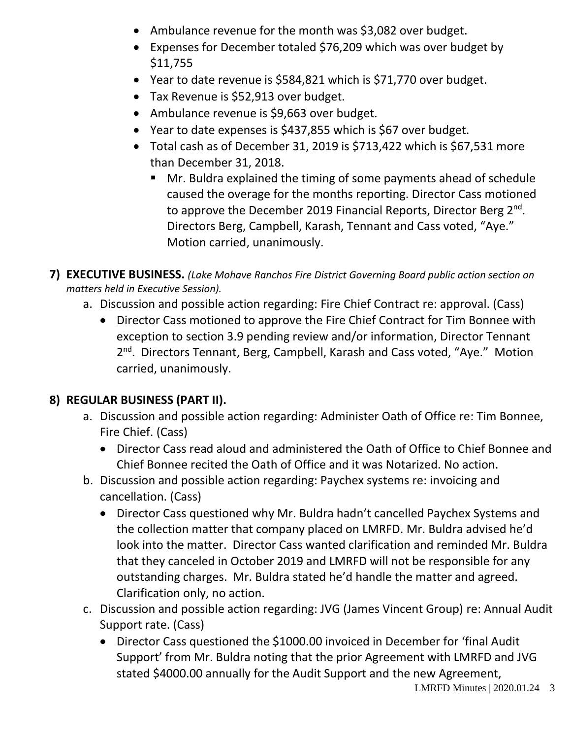- Ambulance revenue for the month was \$3,082 over budget.
- Expenses for December totaled \$76,209 which was over budget by \$11,755
- Year to date revenue is \$584,821 which is \$71,770 over budget.
- Tax Revenue is \$52,913 over budget.
- Ambulance revenue is \$9,663 over budget.
- Year to date expenses is \$437,855 which is \$67 over budget.
- Total cash as of December 31, 2019 is \$713,422 which is \$67,531 more than December 31, 2018.
	- Mr. Buldra explained the timing of some payments ahead of schedule caused the overage for the months reporting. Director Cass motioned to approve the December 2019 Financial Reports, Director Berg 2<sup>nd</sup>. Directors Berg, Campbell, Karash, Tennant and Cass voted, "Aye." Motion carried, unanimously.

**7) EXECUTIVE BUSINESS.** *(Lake Mohave Ranchos Fire District Governing Board public action section on matters held in Executive Session).*

- a. Discussion and possible action regarding: Fire Chief Contract re: approval. (Cass)
	- Director Cass motioned to approve the Fire Chief Contract for Tim Bonnee with exception to section 3.9 pending review and/or information, Director Tennant 2<sup>nd</sup>. Directors Tennant, Berg, Campbell, Karash and Cass voted, "Aye." Motion carried, unanimously.

#### **8) REGULAR BUSINESS (PART II).**

- a. Discussion and possible action regarding: Administer Oath of Office re: Tim Bonnee, Fire Chief. (Cass)
	- Director Cass read aloud and administered the Oath of Office to Chief Bonnee and Chief Bonnee recited the Oath of Office and it was Notarized. No action.
- b. Discussion and possible action regarding: Paychex systems re: invoicing and cancellation. (Cass)
	- Director Cass questioned why Mr. Buldra hadn't cancelled Paychex Systems and the collection matter that company placed on LMRFD. Mr. Buldra advised he'd look into the matter. Director Cass wanted clarification and reminded Mr. Buldra that they canceled in October 2019 and LMRFD will not be responsible for any outstanding charges. Mr. Buldra stated he'd handle the matter and agreed. Clarification only, no action.
- c. Discussion and possible action regarding: JVG (James Vincent Group) re: Annual Audit Support rate. (Cass)
	- Director Cass questioned the \$1000.00 invoiced in December for 'final Audit Support' from Mr. Buldra noting that the prior Agreement with LMRFD and JVG stated \$4000.00 annually for the Audit Support and the new Agreement,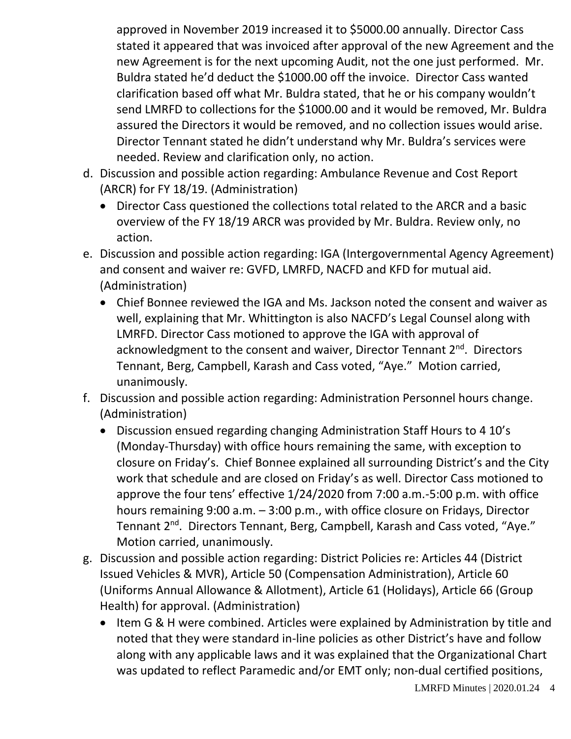approved in November 2019 increased it to \$5000.00 annually. Director Cass stated it appeared that was invoiced after approval of the new Agreement and the new Agreement is for the next upcoming Audit, not the one just performed. Mr. Buldra stated he'd deduct the \$1000.00 off the invoice. Director Cass wanted clarification based off what Mr. Buldra stated, that he or his company wouldn't send LMRFD to collections for the \$1000.00 and it would be removed, Mr. Buldra assured the Directors it would be removed, and no collection issues would arise. Director Tennant stated he didn't understand why Mr. Buldra's services were needed. Review and clarification only, no action.

- d. Discussion and possible action regarding: Ambulance Revenue and Cost Report (ARCR) for FY 18/19. (Administration)
	- Director Cass questioned the collections total related to the ARCR and a basic overview of the FY 18/19 ARCR was provided by Mr. Buldra. Review only, no action.
- e. Discussion and possible action regarding: IGA (Intergovernmental Agency Agreement) and consent and waiver re: GVFD, LMRFD, NACFD and KFD for mutual aid. (Administration)
	- Chief Bonnee reviewed the IGA and Ms. Jackson noted the consent and waiver as well, explaining that Mr. Whittington is also NACFD's Legal Counsel along with LMRFD. Director Cass motioned to approve the IGA with approval of acknowledgment to the consent and waiver, Director Tennant 2<sup>nd</sup>. Directors Tennant, Berg, Campbell, Karash and Cass voted, "Aye." Motion carried, unanimously.
- f. Discussion and possible action regarding: Administration Personnel hours change. (Administration)
	- Discussion ensued regarding changing Administration Staff Hours to 4 10's (Monday-Thursday) with office hours remaining the same, with exception to closure on Friday's. Chief Bonnee explained all surrounding District's and the City work that schedule and are closed on Friday's as well. Director Cass motioned to approve the four tens' effective 1/24/2020 from 7:00 a.m.-5:00 p.m. with office hours remaining 9:00 a.m. – 3:00 p.m., with office closure on Fridays, Director Tennant 2<sup>nd</sup>. Directors Tennant, Berg, Campbell, Karash and Cass voted, "Aye." Motion carried, unanimously.
- g. Discussion and possible action regarding: District Policies re: Articles 44 (District Issued Vehicles & MVR), Article 50 (Compensation Administration), Article 60 (Uniforms Annual Allowance & Allotment), Article 61 (Holidays), Article 66 (Group Health) for approval. (Administration)
	- Item G & H were combined. Articles were explained by Administration by title and noted that they were standard in-line policies as other District's have and follow along with any applicable laws and it was explained that the Organizational Chart was updated to reflect Paramedic and/or EMT only; non-dual certified positions,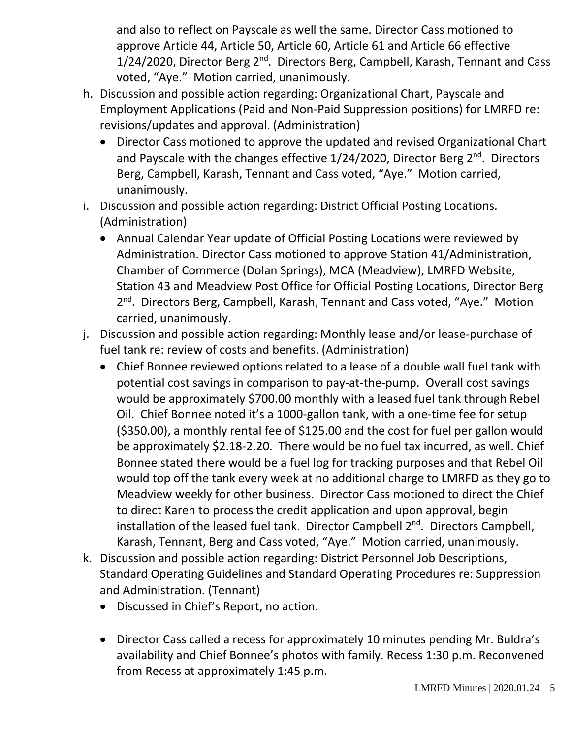and also to reflect on Payscale as well the same. Director Cass motioned to approve Article 44, Article 50, Article 60, Article 61 and Article 66 effective 1/24/2020, Director Berg 2<sup>nd</sup>. Directors Berg, Campbell, Karash, Tennant and Cass voted, "Aye." Motion carried, unanimously.

- h. Discussion and possible action regarding: Organizational Chart, Payscale and Employment Applications (Paid and Non-Paid Suppression positions) for LMRFD re: revisions/updates and approval. (Administration)
	- Director Cass motioned to approve the updated and revised Organizational Chart and Payscale with the changes effective 1/24/2020, Director Berg 2<sup>nd</sup>. Directors Berg, Campbell, Karash, Tennant and Cass voted, "Aye." Motion carried, unanimously.
- i. Discussion and possible action regarding: District Official Posting Locations. (Administration)
	- Annual Calendar Year update of Official Posting Locations were reviewed by Administration. Director Cass motioned to approve Station 41/Administration, Chamber of Commerce (Dolan Springs), MCA (Meadview), LMRFD Website, Station 43 and Meadview Post Office for Official Posting Locations, Director Berg 2<sup>nd</sup>. Directors Berg, Campbell, Karash, Tennant and Cass voted, "Aye." Motion carried, unanimously.
- j. Discussion and possible action regarding: Monthly lease and/or lease-purchase of fuel tank re: review of costs and benefits. (Administration)
	- Chief Bonnee reviewed options related to a lease of a double wall fuel tank with potential cost savings in comparison to pay-at-the-pump. Overall cost savings would be approximately \$700.00 monthly with a leased fuel tank through Rebel Oil. Chief Bonnee noted it's a 1000-gallon tank, with a one-time fee for setup (\$350.00), a monthly rental fee of \$125.00 and the cost for fuel per gallon would be approximately \$2.18-2.20. There would be no fuel tax incurred, as well. Chief Bonnee stated there would be a fuel log for tracking purposes and that Rebel Oil would top off the tank every week at no additional charge to LMRFD as they go to Meadview weekly for other business. Director Cass motioned to direct the Chief to direct Karen to process the credit application and upon approval, begin installation of the leased fuel tank. Director Campbell 2<sup>nd</sup>. Directors Campbell, Karash, Tennant, Berg and Cass voted, "Aye." Motion carried, unanimously.
- k. Discussion and possible action regarding: District Personnel Job Descriptions, Standard Operating Guidelines and Standard Operating Procedures re: Suppression and Administration. (Tennant)
	- Discussed in Chief's Report, no action.
	- Director Cass called a recess for approximately 10 minutes pending Mr. Buldra's availability and Chief Bonnee's photos with family. Recess 1:30 p.m. Reconvened from Recess at approximately 1:45 p.m.